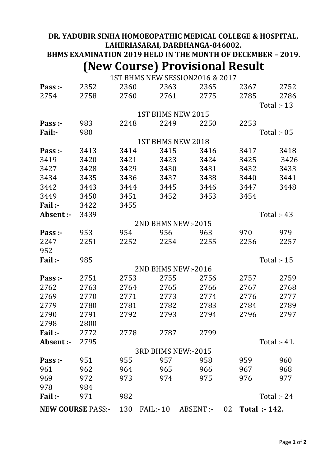## **DR. YADUBIR SINHA HOMOEOPATHIC MEDICAL COLLEGE & HOSPITAL, LAHERIASARAI, DARBHANGA-846002. BHMS EXAMINATION 2019 HELD IN THE MONTH OF DECEMBER – 2019.**

## **(New Course) Provisional Result**

1ST BHMS NEW SESSION2016 & 2017

|                          |      |                    | 11011 00001011001  |           |      |                    |  |  |  |
|--------------------------|------|--------------------|--------------------|-----------|------|--------------------|--|--|--|
| Pass :-                  | 2352 | 2360               | 2363               | 2365      | 2367 | 2752               |  |  |  |
| 2754                     | 2758 | 2760               | 2761               | 2775      | 2785 | 2786               |  |  |  |
|                          |      |                    |                    |           |      | Total :- 13        |  |  |  |
|                          |      |                    | 1ST BHMS NEW 2015  |           |      |                    |  |  |  |
| Pass :-                  | 983  | 2248               | 2249               | 2250      | 2253 |                    |  |  |  |
| Fail:-                   | 980  |                    |                    |           |      | Total :- 05        |  |  |  |
|                          |      |                    | 1ST BHMS NEW 2018  |           |      |                    |  |  |  |
| Pass :-                  | 3413 | 3414               | 3415               | 3416      | 3417 | 3418               |  |  |  |
| 3419                     | 3420 | 3421               | 3423               | 3424      | 3425 | 3426               |  |  |  |
| 3427                     | 3428 | 3429               | 3430               | 3431      | 3432 | 3433               |  |  |  |
| 3434                     | 3435 | 3436               | 3437               | 3438      | 3440 | 3441               |  |  |  |
| 3442                     | 3443 | 3444               | 3445               | 3446      | 3447 | 3448               |  |  |  |
| 3449                     | 3450 | 3451               | 3452               | 3453      | 3454 |                    |  |  |  |
| Fail:-                   | 3422 | 3455               |                    |           |      |                    |  |  |  |
| Absent :-                | 3439 |                    |                    |           |      | <b>Total :- 43</b> |  |  |  |
|                          |      |                    | 2ND BHMS NEW:-2015 |           |      |                    |  |  |  |
| Pass :-                  | 953  | 954                | 956                | 963       | 970  | 979                |  |  |  |
| 2247                     | 2251 | 2252               | 2254               | 2255      | 2256 | 2257               |  |  |  |
| 952                      |      |                    |                    |           |      |                    |  |  |  |
| Fail:-                   | 985  | <b>Total :- 15</b> |                    |           |      |                    |  |  |  |
|                          |      |                    | 2ND BHMS NEW:-2016 |           |      |                    |  |  |  |
| Pass :-                  | 2751 | 2753               | 2755               | 2756      | 2757 | 2759               |  |  |  |
| 2762                     | 2763 | 2764               | 2765               | 2766      | 2767 | 2768               |  |  |  |
| 2769                     | 2770 | 2771               | 2773               | 2774      | 2776 | 2777               |  |  |  |
| 2779                     | 2780 | 2781               | 2782               | 2783      | 2784 | 2789               |  |  |  |
| 2790                     | 2791 | 2792               | 2793               | 2794      | 2796 | 2797               |  |  |  |
| 2798                     | 2800 |                    |                    |           |      |                    |  |  |  |
| Fail:-                   | 2772 | 2778               | 2787               | 2799      |      |                    |  |  |  |
| Absent :-                | 2795 |                    |                    |           |      | Total :- 41.       |  |  |  |
|                          |      |                    | 3RD BHMS NEW:-2015 |           |      |                    |  |  |  |
| Pass :-                  | 951  | 955                | 957                | 958       | 959  | 960                |  |  |  |
| 961                      | 962  | 964                | 965                | 966       | 967  | 968                |  |  |  |
| 969                      | 972  | 973                | 974                | 975       | 976  | 977                |  |  |  |
| 978                      | 984  |                    |                    |           |      |                    |  |  |  |
| Fail:-                   | 971  | 982                |                    |           |      | <b>Total :- 24</b> |  |  |  |
| <b>NEW COURSE PASS:-</b> |      | 130                | $FAIL: -10$        | ABSENT :- | 02   | Total :- 142.      |  |  |  |
|                          |      |                    |                    |           |      |                    |  |  |  |